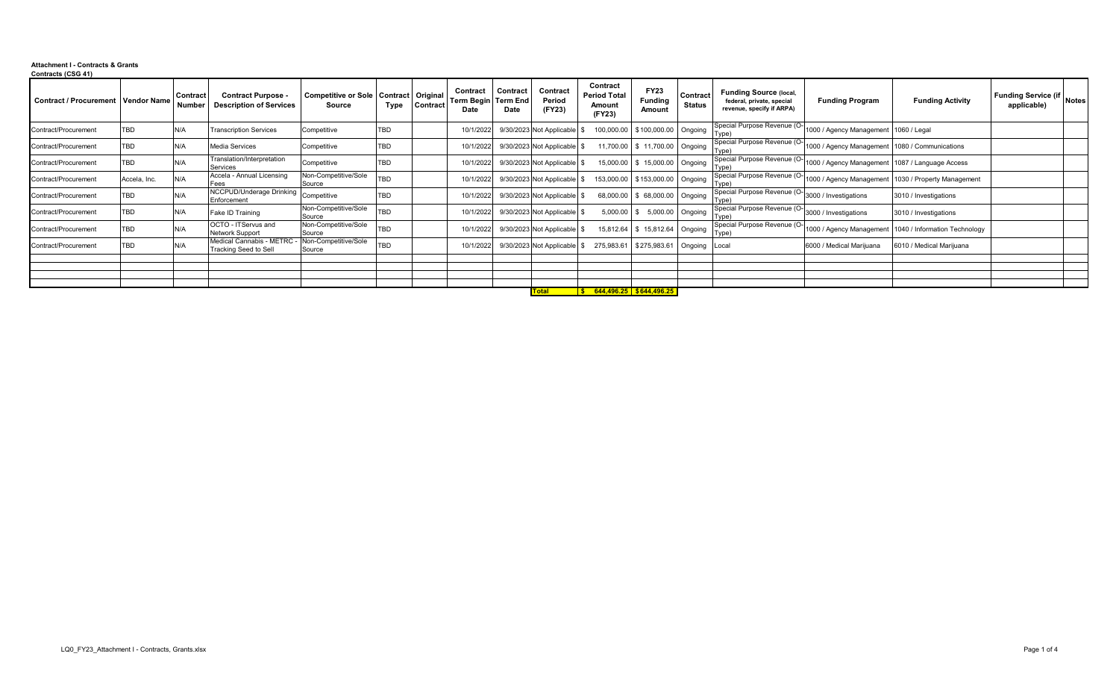### **Attachment I - Contracts & Grants Contracts (CSG 41)**

| <b>Contract / Procurement   Vendor Name</b> |              | Contract<br><b>Number</b> | <b>Contract Purpose -</b><br><b>Description of Services</b> | Competitive or Sole   Contract   Original<br>Source | Type       | Contract | Contract<br>Term Begin Term End<br>Date | Contract<br>Date | Contract<br>Period<br>(FY23) | Contract<br><b>Period Total</b><br>Amount<br>(FY23) | <b>FY23</b><br><b>Funding</b><br>Amount | Contract<br><b>Status</b> | <b>Funding Source (local,</b><br>federal, private, special<br>revenue, specify if ARPA) | <b>Funding Program</b>                          | <b>Funding Activity</b>                             | Funding Service (if Notes<br>applicable) |  |
|---------------------------------------------|--------------|---------------------------|-------------------------------------------------------------|-----------------------------------------------------|------------|----------|-----------------------------------------|------------------|------------------------------|-----------------------------------------------------|-----------------------------------------|---------------------------|-----------------------------------------------------------------------------------------|-------------------------------------------------|-----------------------------------------------------|------------------------------------------|--|
| Contract/Procurement                        | <b>TBD</b>   | N/A                       | <b>Transcription Services</b>                               | Competitive                                         | TBD        |          | 10/1/2022                               |                  | 9/30/2023 Not Applicable     |                                                     | 100,000.00 \$100,000.00 Ongoing         |                           | Special Purpose Revenue (O-<br>Type)                                                    | 1000 / Agency Management 1060 / Legal           |                                                     |                                          |  |
| Contract/Procurement                        | <b>TBD</b>   | N/A                       | <b>Media Services</b>                                       | Competitive                                         | <b>TBD</b> |          | 10/1/2022                               |                  | 9/30/2023 Not Applicable     |                                                     | 11,700.00 \$ 11,700.00 Ongoing          |                           | Special Purpose Revenue (O-<br>Type)                                                    | 1000 / Agency Management 1080 / Communications  |                                                     |                                          |  |
| Contract/Procurement                        | TBD          | N/A                       | Translation/Interpretation<br>Services                      | Competitive                                         | <b>TBD</b> |          | 10/1/2022                               |                  | 9/30/2023 Not Applicable     | 15,000.00                                           | \$ 15,000.00 Ongoing                    |                           | Special Purpose Revenue (O-<br>Type)                                                    | 1000 / Agency Management 1087 / Language Access |                                                     |                                          |  |
| Contract/Procurement                        | Accela, Inc. | N/A                       | Accela - Annual Licensing<br>Fees                           | <b>Von-Competitive/Sole</b><br>Source               | <b>TBD</b> |          | 10/1/2022                               |                  | 9/30/2023 Not Applicable     |                                                     | 153,000.00 \$153,000.00 Ongoing         |                           | Special Purpose Revenue (O-<br>Type)                                                    |                                                 | 1000 / Agency Management 1030 / Property Management |                                          |  |
| Contract/Procurement                        | TBD          | N/A                       | NCCPUD/Underage Drinking<br>Enforcement                     | Competitive                                         | <b>TBD</b> |          | 10/1/2022                               |                  | 9/30/2023 Not Applicable     |                                                     | 68,000.00 \$ 68,000.00 Ongoing          |                           | Special Purpose Revenue (O-<br>Type)                                                    | 3000 / Investigations                           | 3010 / Investigations                               |                                          |  |
| Contract/Procurement                        | TBD          | N/A                       | Fake ID Training                                            | Non-Competitive/Sole<br>Source                      | <b>TBD</b> |          | 10/1/2022                               |                  | 9/30/2023 Not Applicable     | 5,000.00                                            |                                         | 5,000.00 Ongoing          | Special Purpose Revenue (O-<br>Type)                                                    | 3000 / Investigations                           | 3010 / Investigations                               |                                          |  |
| Contract/Procurement                        | TBD          | N/A                       | OCTO - ITServus and<br><b>Network Support</b>               | Non-Competitive/Sole<br>Source                      | <b>TBD</b> |          | 10/1/2022                               |                  | 9/30/2023 Not Applicable     | 15,812.64                                           | \$ 15,812.64 Ongoing                    |                           | Special Purpose Revenue (O-<br>Type)                                                    | 1000 / Agency Management                        | 1040 / Information Technology                       |                                          |  |
| Contract/Procurement                        | TBD          | N/A                       | Medical Cannabis - METRC<br>Tracking Seed to Sell           | Non-Competitive/Sole<br>Source                      | <b>TBD</b> |          | 10/1/2022                               |                  | 9/30/2023 Not Applicable     | 275,983.61                                          | \$275,983.61                            | Ongoing                   | Local                                                                                   | 6000 / Medical Marijuana                        | 6010 / Medical Marijuana                            |                                          |  |
|                                             |              |                           |                                                             |                                                     |            |          |                                         |                  |                              |                                                     |                                         |                           |                                                                                         |                                                 |                                                     |                                          |  |
|                                             |              |                           |                                                             |                                                     |            |          |                                         |                  |                              |                                                     |                                         |                           |                                                                                         |                                                 |                                                     |                                          |  |
|                                             |              |                           |                                                             |                                                     |            |          |                                         |                  |                              |                                                     |                                         |                           |                                                                                         |                                                 |                                                     |                                          |  |
|                                             |              |                           |                                                             |                                                     |            |          |                                         |                  | <b>Total</b>                 | $\frac{1}{5}$ 644,496.25 \$644,496.25               |                                         |                           |                                                                                         |                                                 |                                                     |                                          |  |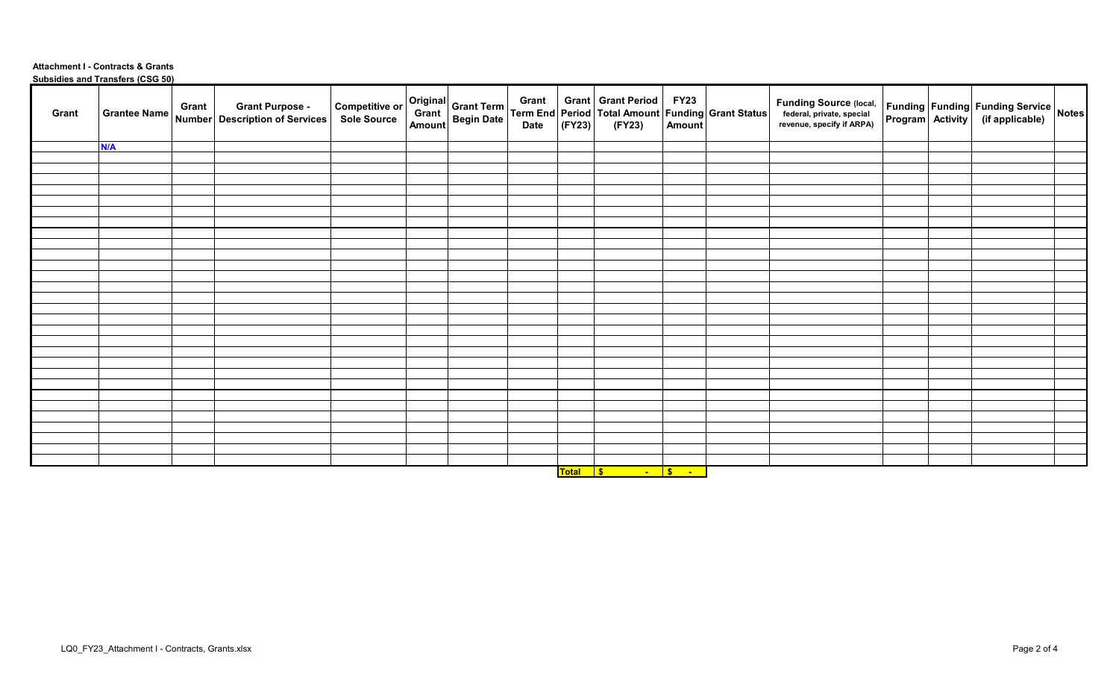### **Attachment I - Contracts & Grants Subsidies and Transfers (CSG 50)**

| Original Grant Term   Grant   Grant   Grant Period   FY23  <br>  Grant   Begin Date   Term End   Period   Total Amount   Funding Grant Status  <br>  Amount   Begin Date   (FY23)   (FY23)   Amount  <br><b>Funding Source (local,<br/>federal, private, special<br/>revenue, specify if ARPA)</b><br><b>Competitive or</b><br><b>Grant Purpose -</b><br>Grant<br><b>Grantee Name</b><br>Grant<br>Sole Source<br>Number   Description of Services<br><b>N/A</b> |  |  |  |  |  |  |  |  |
|-----------------------------------------------------------------------------------------------------------------------------------------------------------------------------------------------------------------------------------------------------------------------------------------------------------------------------------------------------------------------------------------------------------------------------------------------------------------|--|--|--|--|--|--|--|--|
| Funding   Funding   Funding Service   Notes<br>  Program   Activity   (if applicable)   Notes                                                                                                                                                                                                                                                                                                                                                                   |  |  |  |  |  |  |  |  |
|                                                                                                                                                                                                                                                                                                                                                                                                                                                                 |  |  |  |  |  |  |  |  |
|                                                                                                                                                                                                                                                                                                                                                                                                                                                                 |  |  |  |  |  |  |  |  |
|                                                                                                                                                                                                                                                                                                                                                                                                                                                                 |  |  |  |  |  |  |  |  |
|                                                                                                                                                                                                                                                                                                                                                                                                                                                                 |  |  |  |  |  |  |  |  |
|                                                                                                                                                                                                                                                                                                                                                                                                                                                                 |  |  |  |  |  |  |  |  |
|                                                                                                                                                                                                                                                                                                                                                                                                                                                                 |  |  |  |  |  |  |  |  |
|                                                                                                                                                                                                                                                                                                                                                                                                                                                                 |  |  |  |  |  |  |  |  |
|                                                                                                                                                                                                                                                                                                                                                                                                                                                                 |  |  |  |  |  |  |  |  |
|                                                                                                                                                                                                                                                                                                                                                                                                                                                                 |  |  |  |  |  |  |  |  |
|                                                                                                                                                                                                                                                                                                                                                                                                                                                                 |  |  |  |  |  |  |  |  |
|                                                                                                                                                                                                                                                                                                                                                                                                                                                                 |  |  |  |  |  |  |  |  |
|                                                                                                                                                                                                                                                                                                                                                                                                                                                                 |  |  |  |  |  |  |  |  |
|                                                                                                                                                                                                                                                                                                                                                                                                                                                                 |  |  |  |  |  |  |  |  |
|                                                                                                                                                                                                                                                                                                                                                                                                                                                                 |  |  |  |  |  |  |  |  |
|                                                                                                                                                                                                                                                                                                                                                                                                                                                                 |  |  |  |  |  |  |  |  |
|                                                                                                                                                                                                                                                                                                                                                                                                                                                                 |  |  |  |  |  |  |  |  |
|                                                                                                                                                                                                                                                                                                                                                                                                                                                                 |  |  |  |  |  |  |  |  |
|                                                                                                                                                                                                                                                                                                                                                                                                                                                                 |  |  |  |  |  |  |  |  |
|                                                                                                                                                                                                                                                                                                                                                                                                                                                                 |  |  |  |  |  |  |  |  |
|                                                                                                                                                                                                                                                                                                                                                                                                                                                                 |  |  |  |  |  |  |  |  |
|                                                                                                                                                                                                                                                                                                                                                                                                                                                                 |  |  |  |  |  |  |  |  |
|                                                                                                                                                                                                                                                                                                                                                                                                                                                                 |  |  |  |  |  |  |  |  |
|                                                                                                                                                                                                                                                                                                                                                                                                                                                                 |  |  |  |  |  |  |  |  |
|                                                                                                                                                                                                                                                                                                                                                                                                                                                                 |  |  |  |  |  |  |  |  |
|                                                                                                                                                                                                                                                                                                                                                                                                                                                                 |  |  |  |  |  |  |  |  |
|                                                                                                                                                                                                                                                                                                                                                                                                                                                                 |  |  |  |  |  |  |  |  |
|                                                                                                                                                                                                                                                                                                                                                                                                                                                                 |  |  |  |  |  |  |  |  |
|                                                                                                                                                                                                                                                                                                                                                                                                                                                                 |  |  |  |  |  |  |  |  |
|                                                                                                                                                                                                                                                                                                                                                                                                                                                                 |  |  |  |  |  |  |  |  |
|                                                                                                                                                                                                                                                                                                                                                                                                                                                                 |  |  |  |  |  |  |  |  |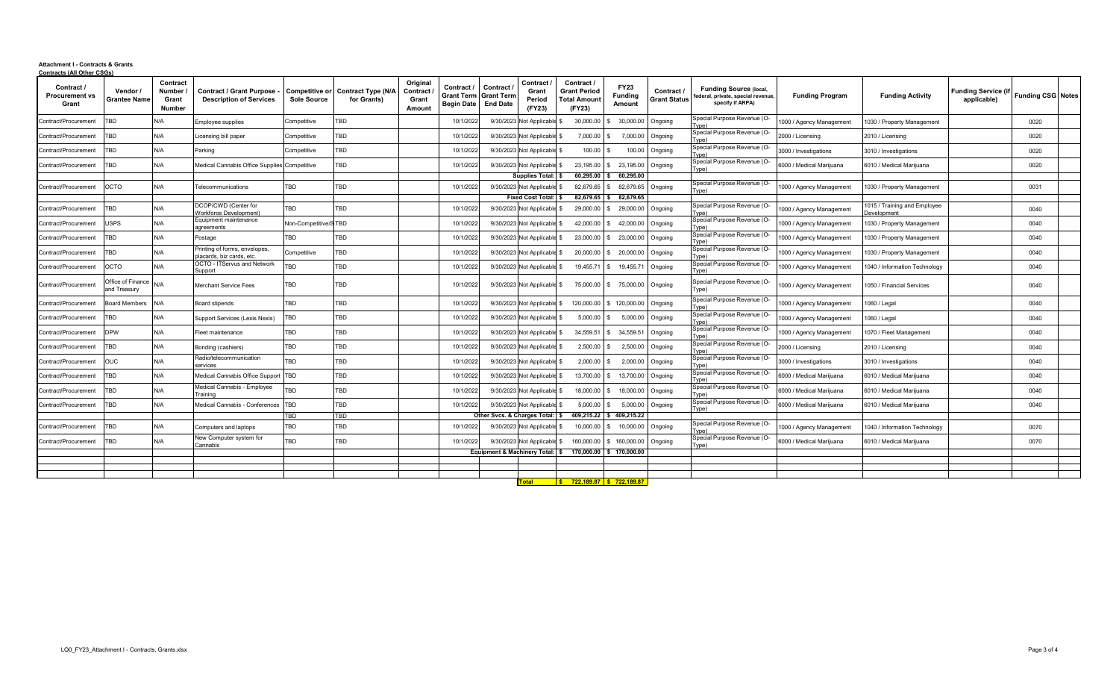#### **Attachment I - Contracts & Grants Contracts (All Other CSGs)**

| Contract /<br><b>Procurement vs</b><br>Grant | Vendor /<br><b>Grantee Name</b>   | Contract<br>Number<br>Grant<br>Number | <b>Contract / Grant Purpose</b><br><b>Description of Services</b> | Competitive or<br><b>Sole Source</b> | <b>Contract Type (N/A</b><br>for Grants) | Original<br>Contract<br>Grant<br>Amount | Contract /<br>Grant Term Grant Term<br><b>Begin Date</b> | Contract<br><b>End Date</b>             | Contract<br>Grant<br>Period<br>(FY23) | Contract<br><b>Grant Period</b><br>Total Amoun<br>(FY23) | <b>FY23</b><br>Fundina<br><b>Amount</b> | Contract<br><b>Grant Status</b> | Funding Source (local.<br>federal, private, special revenue,<br>specify if ARPA) | <b>Funding Program</b>   | <b>Funding Activity</b>                           | <b>Funding Service (i</b><br>applicable) | <b>Funding CSG Notes</b> |  |
|----------------------------------------------|-----------------------------------|---------------------------------------|-------------------------------------------------------------------|--------------------------------------|------------------------------------------|-----------------------------------------|----------------------------------------------------------|-----------------------------------------|---------------------------------------|----------------------------------------------------------|-----------------------------------------|---------------------------------|----------------------------------------------------------------------------------|--------------------------|---------------------------------------------------|------------------------------------------|--------------------------|--|
| Contract/Procurement                         | TBD                               | N/A                                   | mployee supplies                                                  | Competitive                          | TBD                                      |                                         | 10/1/202                                                 | 9/30/2023                               | <b>Not Applicab</b>                   | 30,000.00                                                | 30,000.00                               | Ongoing                         | Special Purpose Revenue (O-<br>[vne]                                             | 1000 / Agency Management | 030 / Property Management                         |                                          | 0020                     |  |
| Contract/Procurement                         | TBD                               | N/A                                   | icensing bill paper                                               | Competitive                          | TBD                                      |                                         | 10/1/202                                                 | 9/30/2023 Not Applicable                |                                       | 7,000.00                                                 | 7.000.00                                | Ongoing                         | Special Purpose Revenue (O-<br>Tvne)                                             | 2000 / Licensing         | 2010 / Licensing                                  |                                          | 0020                     |  |
| Contract/Procurement                         | TBD                               | N/A                                   | Parking                                                           | Competitive                          | TBD                                      |                                         | 10/1/2022                                                | 9/30/2023 Not Applicabl                 |                                       | 100.00                                                   | 100.00                                  | Ongoing                         | Special Purpose Revenue (O-<br>Tyne)                                             | 3000 / Investigations    | 3010 / Investigations                             |                                          | 0020                     |  |
| Contract/Procurement                         | <b>TBD</b>                        | N/A                                   | Medical Cannabis Office Supplies Competitive                      |                                      | TBD                                      |                                         | 10/1/2022                                                | 9/30/2023                               | Not Applicab                          | 23,195.00                                                | 23,195.00                               | Ongoing                         | Special Purpose Revenue (O-<br>Type)                                             | 6000 / Medical Marijuana | 6010 / Medical Marijuana                          |                                          | 0020                     |  |
|                                              |                                   |                                       |                                                                   |                                      |                                          |                                         |                                                          |                                         | <b>Supplies Total:</b>                | 60.295.00                                                | 60.295.00                               |                                 |                                                                                  |                          |                                                   |                                          |                          |  |
| Contract/Procurement                         | OCTO                              | N/A                                   | <b>Telecommunications</b>                                         | TBD                                  | <b>TBD</b>                               |                                         | 10/1/2022                                                | 9/30/2023                               | <b>Not Applicab</b>                   | 82,679.65                                                | 82,679.65                               | Ongoing                         | Special Purpose Revenue (O-<br>Type)                                             | 000 / Agency Management  | 030 / Property Management                         |                                          | 0031                     |  |
|                                              |                                   |                                       |                                                                   |                                      |                                          |                                         |                                                          |                                         | <b>Fixed Cost Total:</b>              | 82,679.65                                                | 82,679.65                               |                                 |                                                                                  |                          |                                                   |                                          |                          |  |
| Contract/Procurement                         | <b>TBD</b>                        | N/A                                   | DCOP/CWD (Center for<br><b>Norkforce Development</b> )            | TBD                                  | <b>TBD</b>                               |                                         | 10/1/2022                                                | 9/30/2023                               | Not Applicabl                         | 29,000.00                                                | 29,000.00                               | Ongoing                         | Special Purpose Revenue (O-<br>Tvpe)                                             | 000 / Agency Management  | 015 / Training and Employee<br><b>Development</b> |                                          | 0040                     |  |
| Contract/Procurement                         | <b>ISPS</b>                       | N/A                                   | Equipment maintenance<br>greements                                | Non-Competitive/S TBD                |                                          |                                         | 10/1/2022                                                | 9/30/2023 Not Applicabl                 |                                       | 42.000.00                                                | 42.000.00                               | Ongoing                         | Special Purpose Revenue (O-<br>[vne)                                             | 000 / Agency Management  | 030 / Property Management                         |                                          | 0040                     |  |
| Contract/Procurement                         | TBD                               | N/A                                   | Postage                                                           | TBD                                  | TBD                                      |                                         | 10/1/2022                                                | 9/30/2023 Not Applicabl                 |                                       | 23,000.00                                                | 23,000.00                               | Ongoing                         | Special Purpose Revenue (O-<br>[vne)                                             | 000 / Agency Management  | 030 / Property Management                         |                                          | 0040                     |  |
| Contract/Procurement                         | <b>TBD</b>                        | N/A                                   | rinting of forms, envelopes,<br>lacards, biz cards, etc           | Competitive                          | TBD                                      |                                         | 10/1/2022                                                | 9/30/2023 Not Applicabl                 |                                       | 20,000.00                                                | 20,000.00                               | Ongoing                         | Special Purpose Revenue (O-<br>Type)                                             | 000 / Agency Management  | 030 / Property Management                         |                                          | 0040                     |  |
| Contract/Procurement                         | осто                              | N/A                                   | <b>OCTO - ITServus and Network</b><br>Support                     | TBD                                  | TBD                                      |                                         | 10/1/2022                                                | 9/30/2023 Not Applicable                |                                       | 19,455.71                                                | 19,455.7                                | Ongoing                         | Special Purpose Revenue (O-<br>Type)                                             | 000 / Agency Management  | 040 / Information Technology                      |                                          | 0040                     |  |
| Contract/Procuremen                          | Office of Finance<br>and Treasurv | N/A                                   | Merchant Service Fees                                             | TBD                                  | TBD                                      |                                         | 10/1/2022                                                | 9/30/2023 Not Applicable \$             |                                       | 75,000.00                                                | 75,000.00 Ongoing                       |                                 | Special Purpose Revenue (O-<br>Type)                                             | 000 / Agency Management  | 050 / Financial Services                          |                                          | 0040                     |  |
| Contract/Procurement                         | <b>Board Members</b>              | N/A                                   | Board stipends                                                    | TBD                                  | TBD                                      |                                         | 10/1/2022                                                | 9/30/2023 Not Applicabl                 |                                       | 120,000.00                                               | 120,000.00                              | Ongoing                         | Special Purpose Revenue (O-<br>[vpe]                                             | 1000 / Agency Managemen  | 060 / Legal                                       |                                          | 0040                     |  |
| Contract/Procurement                         | <b>TBD</b>                        | N/A                                   | Support Services (Lexis Nexis)                                    | TBD                                  | TBD                                      |                                         | 10/1/202                                                 | 9/30/2023 Not Applicable                |                                       | 5,000.00                                                 | 5.000.00                                | Ongoing                         | Special Purpose Revenue (O-<br>Type)                                             | 000 / Agency Management  | 060 / Legal                                       |                                          | 0040                     |  |
| Contract/Procurement                         | <b>DPW</b>                        | N/A                                   | Fleet maintenance                                                 | TBD                                  | TBD                                      |                                         | 10/1/2022                                                | 9/30/2023 Not Applicable                |                                       | 34,559.51                                                | 34,559.5                                | Ongoing                         | Special Purpose Revenue (O-<br>Type)                                             | 000 / Agency Management  | 070 / Fleet Management                            |                                          | 0040                     |  |
| Contract/Procurement                         | <b>TBD</b>                        | N/A                                   | Bonding (cashiers)                                                | TBD                                  | <b>TBD</b>                               |                                         | 10/1/2022                                                | 9/30/2023                               | Not Applicabl                         | 2,500.00                                                 | 2,500.00                                | Ongoing                         | Special Purpose Revenue (O-<br>[vpe)                                             | 2000 / Licensing         | 2010 / Licensing                                  |                                          | 0040                     |  |
| Contract/Procurement                         | <b>OUC</b>                        | N/A                                   | Radio/telecommunication<br>ervices                                | TBD                                  | TBD                                      |                                         | 10/1/2022                                                | 9/30/2023 Not Applicable                |                                       | 2,000.00                                                 | 2,000.00                                | Ongoing                         | Special Purpose Revenue (O-                                                      | 3000 / Investigations    | 3010 / Investigations                             |                                          | 0040                     |  |
| Contract/Procurement                         | TBD                               | N/A                                   | Medical Cannabis Office Suppor                                    | TBD                                  | TBD                                      |                                         | 10/1/2022                                                | 9/30/2023 Not Applicabl                 |                                       | 13,700.00                                                | 13,700.00                               | Ongoing                         | Special Purpose Revenue (O-<br>Type)                                             | 6000 / Medical Marijuana | 6010 / Medical Marijuana                          |                                          | 0040                     |  |
| Contract/Procurement                         | <b>TBD</b>                        | N/A                                   | Medical Cannabis - Employee<br>Training                           | TBD                                  | TBD                                      |                                         | 10/1/2022                                                | 9/30/2023 Not Applicabl                 |                                       | 18,000.00                                                | 18,000.00                               | Ongoing                         | Special Purpose Revenue (O-<br>Tyne)                                             | 6000 / Medical Mariiuana | 6010 / Medical Mariiuana                          |                                          | 0040                     |  |
| Contract/Procurement                         | TBD                               | N/A                                   | Medical Cannabis - Conferences                                    | TBD                                  | TBD                                      |                                         | 10/1/2022                                                | 9/30/2023 Not Applicabl                 |                                       | 5,000.00                                                 | 5,000.00                                | Ongoing                         | Special Purpose Revenue (O-<br>[vpe)                                             | 3000 / Medical Marijuana | 6010 / Medical Marijuana                          |                                          | 0040                     |  |
|                                              |                                   |                                       |                                                                   | TBD                                  | TBD                                      |                                         |                                                          | Other Svcs. & Charges Total:            |                                       | 409.215.22                                               | 409.215.22                              |                                 |                                                                                  |                          |                                                   |                                          |                          |  |
| Contract/Procurement                         | TBD                               | N/A                                   | Computers and laptops                                             | TBD                                  | TBD                                      |                                         | 10/1/2022                                                | 9/30/2023 Not Applicable                |                                       | 10,000.00                                                | 10,000.00                               | Ongoing                         | Special Purpose Revenue (O-<br>[vne)                                             | 000 / Agency Management  | 040 / Information Technology                      |                                          | 0070                     |  |
| Contract/Procurement                         | TBD                               | N/A                                   | New Computer system for<br>annabis;                               | TBD                                  | TBD                                      |                                         | 10/1/2022                                                | 9/30/2023 Not Applicabl                 |                                       | 160,000.00                                               | \$160,000.00                            | Ongoing                         | Special Purpose Revenue (O-<br>Type)                                             | 6000 / Medical Marijuana | 6010 / Medical Mariiuana                          |                                          | 0070                     |  |
|                                              |                                   |                                       |                                                                   |                                      |                                          |                                         |                                                          | <b>Equipment &amp; Machinery Total:</b> |                                       | 170.000.00                                               | \$170,000.00                            |                                 |                                                                                  |                          |                                                   |                                          |                          |  |
|                                              |                                   |                                       |                                                                   |                                      |                                          |                                         |                                                          |                                         |                                       |                                                          |                                         |                                 |                                                                                  |                          |                                                   |                                          |                          |  |
|                                              |                                   |                                       |                                                                   |                                      |                                          |                                         |                                                          |                                         |                                       |                                                          |                                         |                                 |                                                                                  |                          |                                                   |                                          |                          |  |
|                                              |                                   |                                       |                                                                   |                                      |                                          |                                         |                                                          |                                         | <b>Total</b>                          | <u>S 722.189.87 S 722.189.87</u>                         |                                         |                                 |                                                                                  |                          |                                                   |                                          |                          |  |